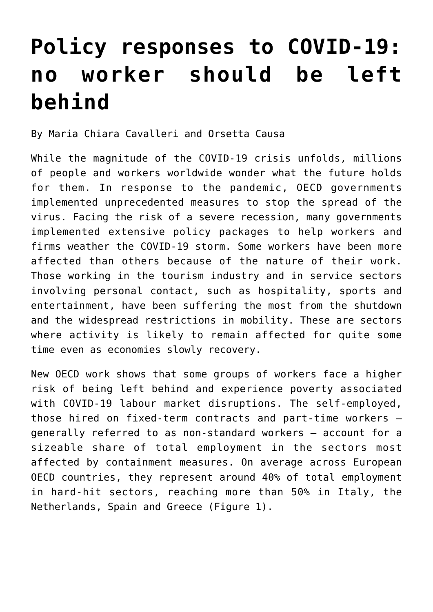# **[Policy responses to COVID-19:](https://oecdecoscope.blog/2020/06/19/policy-responses-to-covid-19-no-worker-should-be-left-behind/) [no worker should be left](https://oecdecoscope.blog/2020/06/19/policy-responses-to-covid-19-no-worker-should-be-left-behind/) [behind](https://oecdecoscope.blog/2020/06/19/policy-responses-to-covid-19-no-worker-should-be-left-behind/)**

By Maria Chiara Cavalleri and Orsetta Causa

While the magnitude of the COVID-19 crisis unfolds, millions of people and workers worldwide wonder what the future holds for them. In response to the pandemic, OECD governments implemented unprecedented measures to stop the spread of the virus. Facing the risk of a severe recession, many governments implemented extensive policy packages to help workers and firms weather the COVID-19 storm. Some workers have been more affected than others because of the nature of their work. Those working in the tourism industry and in service sectors involving personal contact, such as hospitality, sports and entertainment, have been suffering the most from the shutdown and the widespread restrictions in mobility. These are sectors where activity is likely to remain affected for quite some time even as economies slowly recovery.

Ne[w OECD work](https://www.oecd-ilibrary.org/sites/0d1d1e2e-en/1/3/2/4/index.html?itemId=/content/publication/0d1d1e2e-en&_csp_=bfaa0426ac4b641531f10226ccc9a886&itemIGO=oecd&itemContentType=#indicator-d1e6248) shows that some groups of workers face a higher risk of being left behind and experience poverty associated with COVID-19 labour market disruptions. The self-employed, those hired on fixed-term contracts and part-time workers – generally referred to as non-standard workers – account for a sizeable share of total employment in the sectors most affected by containment measures. On average across European OECD countries, they represent around 40% of total employment in hard-hit sectors, reaching more than 50% in Italy, the Netherlands, Spain and Greece (Figure 1).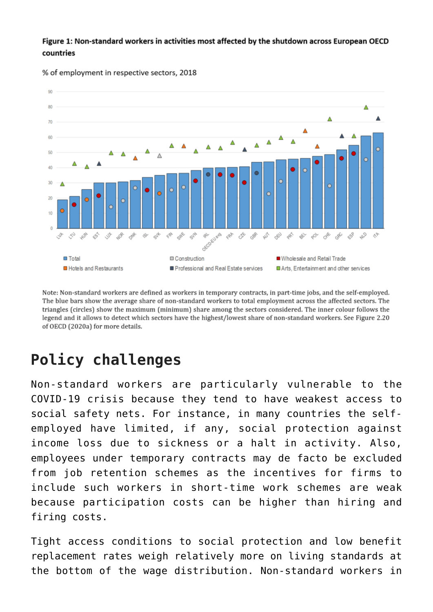#### Figure 1: Non-standard workers in activities most affected by the shutdown across European OECD countries



% of employment in respective sectors, 2018

Note: Non-standard workers are defined as workers in temporary contracts, in part-time jobs, and the self-employed. The blue bars show the average share of non-standard workers to total employment across the affected sectors. The triangles (circles) show the maximum (minimum) share among the sectors considered. The inner colour follows the legend and it allows to detect which sectors have the highest/lowest share of non-standard workers. See Figure 2.20 of OECD (2020a) for more details.

## **Policy challenges**

Non-standard workers are particularly vulnerable to the COVID-19 crisis because they tend to have weakest access to social safety nets. For instance, in many countries the selfemployed have limited, if any, social protection against income loss due to sickness or a halt in activity. Also, employees under temporary contracts may de facto be excluded from job retention schemes as the incentives for firms to include such workers in short-time work schemes are weak because participation costs can be higher than hiring and firing costs.

Tight access conditions to social protection and low benefit replacement rates weigh relatively more on living standards at the bottom of the wage distribution. Non-standard workers in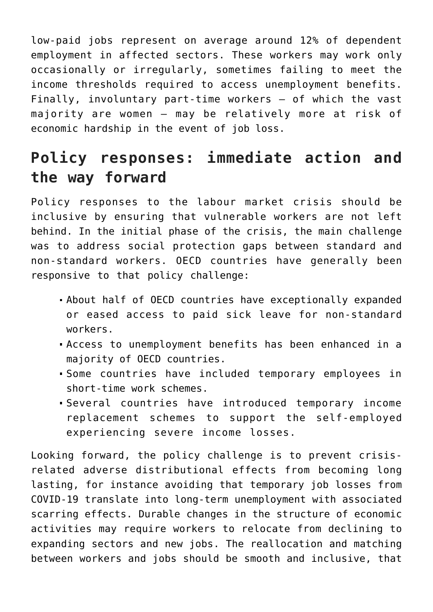low-paid jobs represent on average around 12% of dependent employment in affected sectors. These workers may work only occasionally or irregularly, sometimes failing to meet the income thresholds required to access unemployment benefits. Finally, involuntary part-time workers – of which the vast majority are women – may be relatively more at risk of economic hardship in the event of job loss.

## **Policy responses: immediate action and the way forward**

Policy responses to the labour market crisis should be inclusive by ensuring that vulnerable workers are not left behind. In the initial phase of the crisis, the main challenge was to address social protection gaps between standard and non-standard workers. OECD countries have generally been responsive to that policy challenge:

- About half of OECD countries have exceptionally expanded or eased access to paid sick leave for non-standard workers.
- Access to unemployment benefits has been enhanced in a majority of OECD countries.
- Some countries have included temporary employees in short-time work schemes.
- Several countries have introduced temporary income replacement schemes to support the self-employed experiencing severe income losses.

Looking forward, the policy challenge is to prevent crisisrelated adverse distributional effects from becoming long lasting, for instance avoiding that temporary job losses from COVID-19 translate into long-term unemployment with associated scarring effects. Durable changes in the structure of economic activities may require workers to relocate from declining to expanding sectors and new jobs. The reallocation and matching between workers and jobs should be smooth and inclusive, that